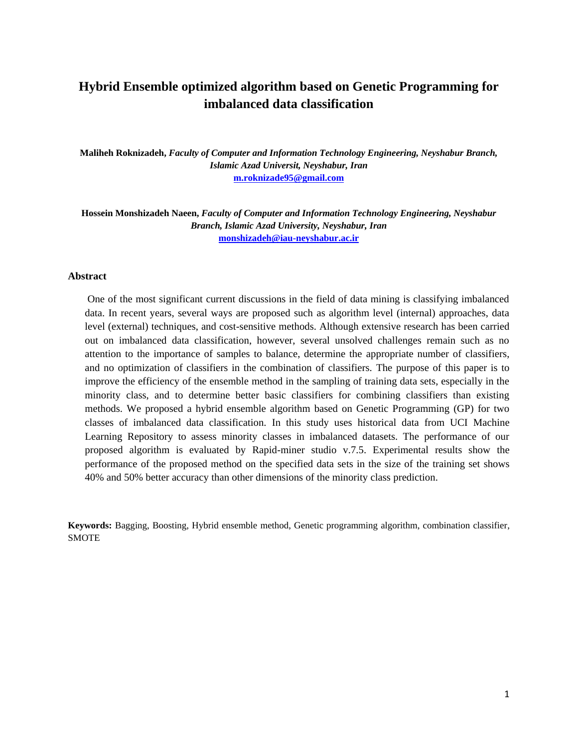# **Hybrid Ensemble optimized algorithm based on Genetic Programming for imbalanced data classification**

**Maliheh Roknizadeh,** *Faculty of Computer and Information Technology Engineering, Neyshabur Branch, Islamic Azad Universit, Neyshabur, Iran* **[m.roknizade95@gmail.com](mailto:m.roknizade95@gmail.com)**

**Hossein Monshizadeh Naeen,** *Faculty of Computer and Information Technology Engineering, Neyshabur Branch, Islamic Azad University, Neyshabur, Iran* **[monshizadeh@iau-neyshabur.ac.ir](mailto:monshizadeh@iau-neyshabur.ac.ir)**

## **Abstract**

One of the most significant current discussions in the field of data mining is classifying imbalanced data. In recent years, several ways are proposed such as algorithm level (internal) approaches, data level (external) techniques, and cost-sensitive methods. Although extensive research has been carried out on imbalanced data classification, however, several unsolved challenges remain such as no attention to the importance of samples to balance, determine the appropriate number of classifiers, and no optimization of classifiers in the combination of classifiers. The purpose of this paper is to improve the efficiency of the ensemble method in the sampling of training data sets, especially in the minority class, and to determine better basic classifiers for combining classifiers than existing methods. We proposed a hybrid ensemble algorithm based on Genetic Programming (GP) for two classes of imbalanced data classification. In this study uses historical data from UCI Machine Learning Repository to assess minority classes in imbalanced datasets. The performance of our proposed algorithm is evaluated by Rapid-miner studio v.7.5. Experimental results show the performance of the proposed method on the specified data sets in the size of the training set shows 40% and 50% better accuracy than other dimensions of the minority class prediction.

**Keywords:** Bagging, Boosting, Hybrid ensemble method, Genetic programming algorithm, combination classifier, SMOTE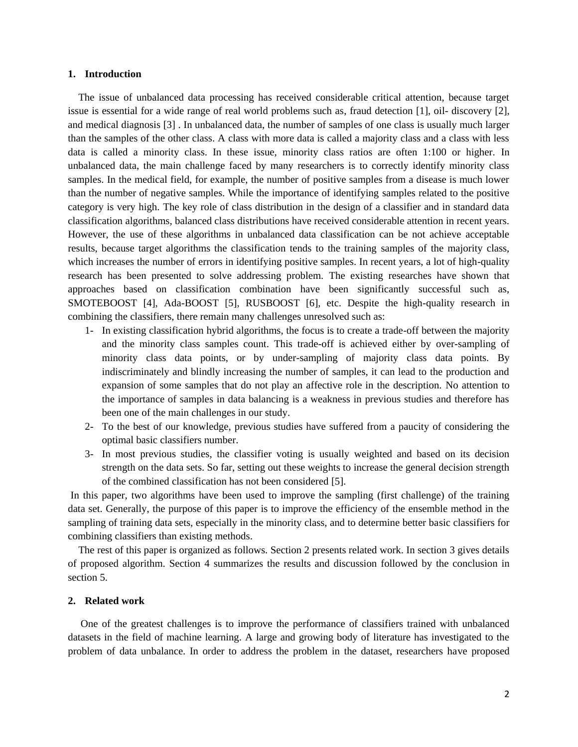## **1. Introduction**

 The issue of unbalanced data processing has received considerable critical attention, because target issue is essential for a wide range of real world problems such as, fraud detection [1], oil- discovery [2], and medical diagnosis [3] . In unbalanced data, the number of samples of one class is usually much larger than the samples of the other class. A class with more data is called a majority class and a class with less data is called a minority class. In these issue, minority class ratios are often 1:100 or higher. In unbalanced data, the main challenge faced by many researchers is to correctly identify minority class samples. In the medical field, for example, the number of positive samples from a disease is much lower than the number of negative samples. While the importance of identifying samples related to the positive category is very high. The key role of class distribution in the design of a classifier and in standard data classification algorithms, balanced class distributions have received considerable attention in recent years. However, the use of these algorithms in unbalanced data classification can be not achieve acceptable results, because target algorithms the classification tends to the training samples of the majority class, which increases the number of errors in identifying positive samples. In recent years, a lot of high-quality research has been presented to solve addressing problem. The existing researches have shown that approaches based on classification combination have been significantly successful such as, SMOTEBOOST [4], Ada-BOOST [5], RUSBOOST [6], etc. Despite the high-quality research in combining the classifiers, there remain many challenges unresolved such as:

- 1- In existing classification hybrid algorithms, the focus is to create a trade-off between the majority and the minority class samples count. This trade-off is achieved either by over-sampling of minority class data points, or by under-sampling of majority class data points. By indiscriminately and blindly increasing the number of samples, it can lead to the production and expansion of some samples that do not play an affective role in the description. No attention to the importance of samples in data balancing is a weakness in previous studies and therefore has been one of the main challenges in our study.
- 2- To the best of our knowledge, previous studies have suffered from a paucity of considering the optimal basic classifiers number.
- 3- In most previous studies, the classifier voting is usually weighted and based on its decision strength on the data sets. So far, setting out these weights to increase the general decision strength of the combined classification has not been considered [5].

In this paper, two algorithms have been used to improve the sampling (first challenge) of the training data set. Generally, the purpose of this paper is to improve the efficiency of the ensemble method in the sampling of training data sets, especially in the minority class, and to determine better basic classifiers for combining classifiers than existing methods.

 The rest of this paper is organized as follows. Section 2 presents related work. In section 3 gives details of proposed algorithm. Section 4 summarizes the results and discussion followed by the conclusion in section 5.

## **2. Related work**

 One of the greatest challenges is to improve the performance of classifiers trained with unbalanced datasets in the field of machine learning. A large and growing body of literature has investigated to the problem of data unbalance. In order to address the problem in the dataset, researchers have proposed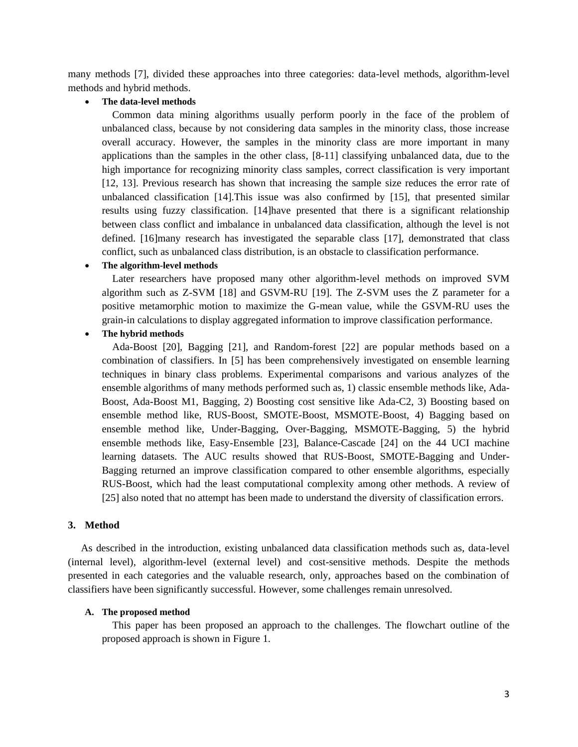many methods [7], divided these approaches into three categories: data-level methods, algorithm-level methods and hybrid methods.

#### **The data-level methods**

 Common data mining algorithms usually perform poorly in the face of the problem of unbalanced class, because by not considering data samples in the minority class, those increase overall accuracy. However, the samples in the minority class are more important in many applications than the samples in the other class, [8-11] classifying unbalanced data, due to the high importance for recognizing minority class samples, correct classification is very important [12, 13]. Previous research has shown that increasing the sample size reduces the error rate of unbalanced classification [14].This issue was also confirmed by [15], that presented similar results using fuzzy classification. [14]have presented that there is a significant relationship between class conflict and imbalance in unbalanced data classification, although the level is not defined. [16]many research has investigated the separable class [17], demonstrated that class conflict, such as unbalanced class distribution, is an obstacle to classification performance.

## **The algorithm-level methods**

 Later researchers have proposed many other algorithm-level methods on improved SVM algorithm such as Z-SVM [18] and GSVM-RU [19]. The Z-SVM uses the Z parameter for a positive metamorphic motion to maximize the G-mean value, while the GSVM-RU uses the grain-in calculations to display aggregated information to improve classification performance.

# **The hybrid methods**

 Ada-Boost [20], Bagging [21], and Random-forest [22] are popular methods based on a combination of classifiers. In [5] has been comprehensively investigated on ensemble learning techniques in binary class problems. Experimental comparisons and various analyzes of the ensemble algorithms of many methods performed such as, 1) classic ensemble methods like, Ada-Boost, Ada-Boost M1, Bagging, 2) Boosting cost sensitive like Ada-C2, 3) Boosting based on ensemble method like, RUS-Boost, SMOTE-Boost, MSMOTE-Boost, 4) Bagging based on ensemble method like, Under-Bagging, Over-Bagging, MSMOTE-Bagging, 5) the hybrid ensemble methods like, Easy-Ensemble [23], Balance-Cascade [24] on the 44 UCI machine learning datasets. The AUC results showed that RUS-Boost, SMOTE-Bagging and Under-Bagging returned an improve classification compared to other ensemble algorithms, especially RUS-Boost, which had the least computational complexity among other methods. A review of [25] also noted that no attempt has been made to understand the diversity of classification errors.

## **3. Method**

As described in the introduction, existing unbalanced data classification methods such as, data-level (internal level), algorithm-level (external level) and cost-sensitive methods. Despite the methods presented in each categories and the valuable research, only, approaches based on the combination of classifiers have been significantly successful. However, some challenges remain unresolved.

## **A. The proposed method**

 This paper has been proposed an approach to the challenges. The flowchart outline of the proposed approach is shown in Figure 1.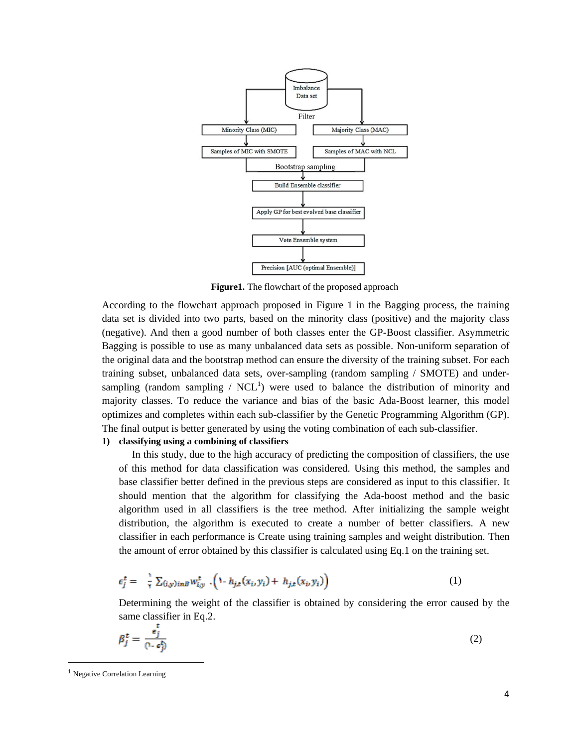

**Figure1.** The flowchart of the proposed approach

According to the flowchart approach proposed in Figure 1 in the Bagging process, the training data set is divided into two parts, based on the minority class (positive) and the majority class (negative). And then a good number of both classes enter the GP-Boost classifier. Asymmetric Bagging is possible to use as many unbalanced data sets as possible. Non-uniform separation of the original data and the bootstrap method can ensure the diversity of the training subset. For each training subset, unbalanced data sets, over-sampling (random sampling / SMOTE) and undersampling (random sampling /  $NCL<sup>1</sup>$ ) were used to balance the distribution of minority and majority classes. To reduce the variance and bias of the basic Ada-Boost learner, this model optimizes and completes within each sub-classifier by the Genetic Programming Algorithm (GP). The final output is better generated by using the voting combination of each sub-classifier.

# **1) classifying using a combining of classifiers**

 In this study, due to the high accuracy of predicting the composition of classifiers, the use of this method for data classification was considered. Using this method, the samples and base classifier better defined in the previous steps are considered as input to this classifier. It should mention that the algorithm for classifying the Ada-boost method and the basic algorithm used in all classifiers is the tree method. After initializing the sample weight distribution, the algorithm is executed to create a number of better classifiers. A new classifier in each performance is Create using training samples and weight distribution. Then the amount of error obtained by this classifier is calculated using Eq.1 on the training set.

$$
\epsilon_j^t = \frac{1}{\tau} \sum_{(i,y) \in B} w_{i,y}^t \cdot \left(1 - h_{j,t}(x_i, y_i) + h_{j,t}(x_i, y_i)\right) \tag{1}
$$

Determining the weight of the classifier is obtained by considering the error caused by the same classifier in Eq.2.

$$
\beta_j^t = \frac{\epsilon_j^t}{(1 - \epsilon_j^t)}
$$
 (2)

 $\overline{a}$ 

<sup>1</sup> Negative Correlation Learning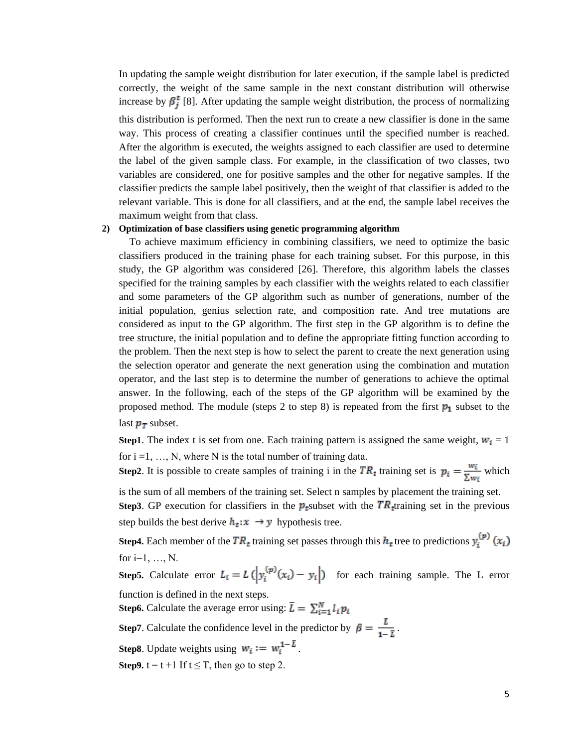In updating the sample weight distribution for later execution, if the sample label is predicted correctly, the weight of the same sample in the next constant distribution will otherwise increase by  $\beta_j^t$  [8]. After updating the sample weight distribution, the process of normalizing

this distribution is performed. Then the next run to create a new classifier is done in the same way. This process of creating a classifier continues until the specified number is reached. After the algorithm is executed, the weights assigned to each classifier are used to determine the label of the given sample class. For example, in the classification of two classes, two variables are considered, one for positive samples and the other for negative samples. If the classifier predicts the sample label positively, then the weight of that classifier is added to the relevant variable. This is done for all classifiers, and at the end, the sample label receives the maximum weight from that class.

# **2) Optimization of base classifiers using genetic programming algorithm**

 To achieve maximum efficiency in combining classifiers, we need to optimize the basic classifiers produced in the training phase for each training subset. For this purpose, in this study, the GP algorithm was considered [26]. Therefore, this algorithm labels the classes specified for the training samples by each classifier with the weights related to each classifier and some parameters of the GP algorithm such as number of generations, number of the initial population, genius selection rate, and composition rate. And tree mutations are considered as input to the GP algorithm. The first step in the GP algorithm is to define the tree structure, the initial population and to define the appropriate fitting function according to the problem. Then the next step is how to select the parent to create the next generation using the selection operator and generate the next generation using the combination and mutation operator, and the last step is to determine the number of generations to achieve the optimal answer. In the following, each of the steps of the GP algorithm will be examined by the proposed method. The module (steps 2 to step 8) is repeated from the first  $p_1$  subset to the last  $p_T$  subset.

**Step1**. The index t is set from one. Each training pattern is assigned the same weight,  $w_i = 1$ for  $i = 1, \ldots, N$ , where N is the total number of training data.

**Step2**. It is possible to create samples of training i in the  $TR_t$  training set is  $p_i = \frac{w_i}{\sum w_i}$  which

is the sum of all members of the training set. Select n samples by placement the training set.

**Step3**. GP execution for classifiers in the  $p_t$ subset with the  $TR_t$ -training set in the previous step builds the best derive  $h_t: x \rightarrow y$  hypothesis tree.

**Step4.** Each member of the  $TR_t$  training set passes through this  $h_t$  tree to predictions  $y_i^{(p)}(x_i)$ for  $i=1, ..., N$ .

**Step5.** Calculate error  $L_i = L\left(\left|y_i^{(p)}(x_i) - y_i\right|\right)$  for each training sample. The L error function is defined in the next steps.

**Step6.** Calculate the average error using:  $\bar{L} = \sum_{i=1}^{N} l_i p_i$ 

**Step7**. Calculate the confidence level in the predictor by  $\beta = \frac{L}{1-\bar{L}}$ .

**Step8**. Update weights using  $w_i := w_i^{1-\bar{L}}$ .

**Step9.**  $t = t + 1$  If  $t \leq T$ , then go to step 2.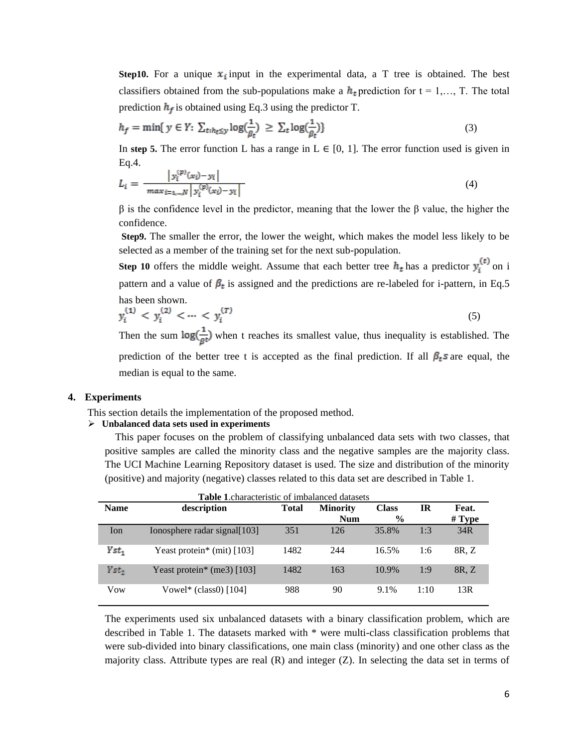**Step10.** For a unique  $x_i$  input in the experimental data, a T tree is obtained. The best classifiers obtained from the sub-populations make a  $h_t$  prediction for  $t = 1,..., T$ . The total prediction  $h_f$  is obtained using Eq.3 using the predictor T.

$$
h_f = \min\{ y \in Y: \sum_{t:h_t \le y} \log(\frac{1}{\beta_t}) \ge \sum_t \log(\frac{1}{\beta_t}) \} \tag{3}
$$

In step 5. The error function L has a range in  $L \in [0, 1]$ . The error function used is given in Eq.4. in the s

$$
L_i = \frac{|y_i^{(p)}(x_i) - y_i|}{\max_{i = 1, \dots, N} |y_i^{(p)}(x_i) - y_i|}
$$
(4)

β is the confidence level in the predictor, meaning that the lower the β value, the higher the confidence.

**Step9.** The smaller the error, the lower the weight, which makes the model less likely to be selected as a member of the training set for the next sub-population.

**Step 10** offers the middle weight. Assume that each better tree  $h_t$  has a predictor  $y_i^{(t)}$  on i pattern and a value of  $\beta_t$  is assigned and the predictions are re-labeled for i-pattern, in Eq.5 has been shown.

$$
y_i^{(1)} < y_i^{(2)} < \dots < y_i^{(T)} \tag{5}
$$

Then the sum  $\log(\frac{1}{\rho t})$  when t reaches its smallest value, thus inequality is established. The prediction of the better tree t is accepted as the final prediction. If all  $\beta_t s$  are equal, the median is equal to the same.

### **4. Experiments**

This section details the implementation of the proposed method.

#### **Unbalanced data sets used in experiments**

 This paper focuses on the problem of classifying unbalanced data sets with two classes, that positive samples are called the minority class and the negative samples are the majority class. The UCI Machine Learning Repository dataset is used. The size and distribution of the minority (positive) and majority (negative) classes related to this data set are described in Table 1.

| <b>Table 1.</b> characteristic of imbalanced datasets |                               |       |                                 |       |        |       |  |  |  |  |
|-------------------------------------------------------|-------------------------------|-------|---------------------------------|-------|--------|-------|--|--|--|--|
| <b>Name</b>                                           | description                   | Total | <b>Class</b><br><b>Minority</b> |       | IR     | Feat. |  |  |  |  |
|                                                       |                               |       | <b>Num</b>                      | $\%$  | # Type |       |  |  |  |  |
| Ion                                                   | Ionosphere radar signal [103] | 351   | 126                             | 35.8% | 1:3    | 34R   |  |  |  |  |
| Yst,                                                  | Yeast protein* (mit) $[103]$  | 1482  | 244                             | 16.5% | 1:6    | 8R. Z |  |  |  |  |
| Yst,                                                  | Yeast protein* (me3) $[103]$  | 1482  | 163                             | 10.9% | 1:9    | 8R, Z |  |  |  |  |
| Vow                                                   | Vowel* (class0) $[104]$       | 988   | 90                              | 9.1%  | 1:10   | 13R   |  |  |  |  |

The experiments used six unbalanced datasets with a binary classification problem, which are described in Table 1. The datasets marked with \* were multi-class classification problems that were sub-divided into binary classifications, one main class (minority) and one other class as the majority class. Attribute types are real  $(R)$  and integer  $(Z)$ . In selecting the data set in terms of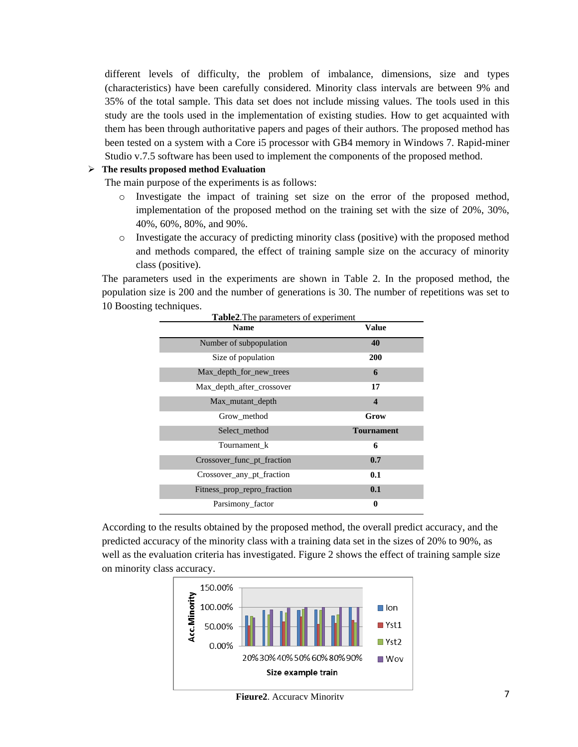different levels of difficulty, the problem of imbalance, dimensions, size and types (characteristics) have been carefully considered. Minority class intervals are between 9% and 35% of the total sample. This data set does not include missing values. The tools used in this study are the tools used in the implementation of existing studies. How to get acquainted with them has been through authoritative papers and pages of their authors. The proposed method has been tested on a system with a Core i5 processor with GB4 memory in Windows 7. Rapid-miner Studio v.7.5 software has been used to implement the components of the proposed method.

# **The results proposed method Evaluation**

The main purpose of the experiments is as follows:

- o Investigate the impact of training set size on the error of the proposed method, implementation of the proposed method on the training set with the size of 20%, 30%, 40%, 60%, 80%, and 90%.
- o Investigate the accuracy of predicting minority class (positive) with the proposed method and methods compared, the effect of training sample size on the accuracy of minority class (positive).

The parameters used in the experiments are shown in Table 2. In the proposed method, the population size is 200 and the number of generations is 30. The number of repetitions was set to 10 Boosting techniques.

| <b>Name</b>                 | <b>Value</b>            |
|-----------------------------|-------------------------|
| Number of subpopulation     | 40                      |
| Size of population          | <b>200</b>              |
| Max depth for new trees     | 6                       |
| Max depth after crossover   | 17                      |
| Max mutant depth            | $\overline{\mathbf{4}}$ |
| Grow method                 | Grow                    |
| Select method               | <b>Tournament</b>       |
| Tournament k                | 6                       |
| Crossover func pt fraction  | 0.7                     |
| Crossover_any_pt_fraction   | 0.1                     |
| Fitness_prop_repro_fraction | 0.1                     |
| Parsimony factor            | 0                       |

According to the results obtained by the proposed method, the overall predict accuracy, and the predicted accuracy of the minority class with a training data set in the sizes of 20% to 90%, as well as the evaluation criteria has investigated. Figure 2 shows the effect of training sample size on minority class accuracy.



**Figure2**. Accuracy Minority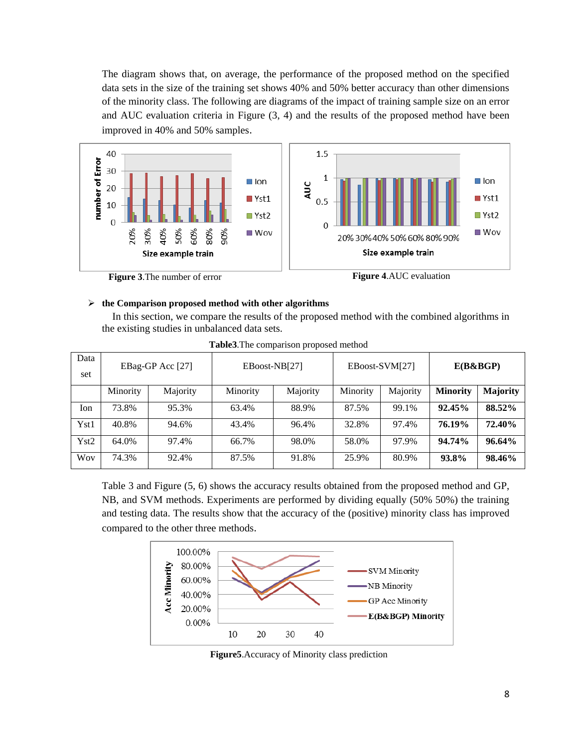The diagram shows that, on average, the performance of the proposed method on the specified data sets in the size of the training set shows 40% and 50% better accuracy than other dimensions of the minority class. The following are diagrams of the impact of training sample size on an error and AUC evaluation criteria in Figure (3, 4) and the results of the proposed method have been improved in 40% and 50% samples.





## **the Comparison proposed method with other algorithms**

 In this section, we compare the results of the proposed method with the combined algorithms in the existing studies in unbalanced data sets.

| Data<br>set | EBag-GP Acc [27] |          |          | EBoost-NB[27] |          | EBoost-SVM[27] | $E(B\&BGP)$     |                 |  |
|-------------|------------------|----------|----------|---------------|----------|----------------|-----------------|-----------------|--|
|             | Minority         | Majority | Minority | Majority      | Minority | Majority       | <b>Minority</b> | <b>Majority</b> |  |
| Ion         | 73.8%            | 95.3%    | 63.4%    | 88.9%         | 87.5%    | 99.1%          | 92.45%          | 88.52%          |  |
| Yst1        | 40.8%            | 94.6%    | 43.4%    | 96.4%         | 32.8%    | 97.4%          | 76.19%          | 72.40%          |  |
| Yst2        | 64.0%            | 97.4%    | 66.7%    | 98.0%         | 58.0%    | 97.9%          | 94.74%          | $96.64\%$       |  |
| Woy         | 74.3%            | 92.4%    | 87.5%    | 91.8%         | 25.9%    | 80.9%          | 93.8%           | 98.46%          |  |

**Table3**.The comparison proposed method

Table 3 and Figure (5, 6) shows the accuracy results obtained from the proposed method and GP, NB, and SVM methods. Experiments are performed by dividing equally (50% 50%) the training and testing data. The results show that the accuracy of the (positive) minority class has improved compared to the other three methods.



**Figure5**.Accuracy of Minority class prediction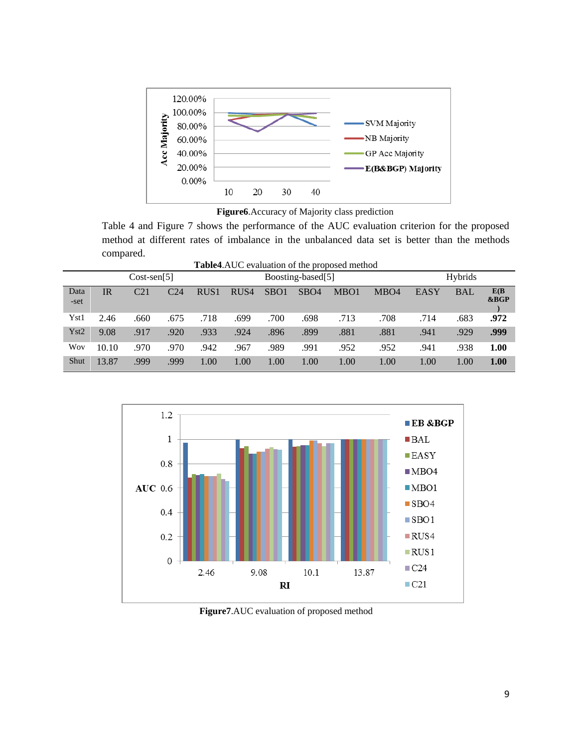

**Figure6**.Accuracy of Majority class prediction

Table 4 and Figure 7 shows the performance of the AUC evaluation criterion for the proposed method at different rates of imbalance in the unbalanced data set is better than the methods compared.

**Table4**.AUC evaluation of the proposed method

| 1000 - 101 - 102 - 102 - 103 - 104 - 105 - 107 - 108 - 109 - 109 - 109 - 109 - 109 - 109 - 109 - 109 - 109 - 1<br>$0.00000$ $0.0000$ |               |                 |      |                  |                   |                  |                  |      |                  |      |            |              |
|--------------------------------------------------------------------------------------------------------------------------------------|---------------|-----------------|------|------------------|-------------------|------------------|------------------|------|------------------|------|------------|--------------|
|                                                                                                                                      | $Cost-sen[5]$ |                 |      |                  | Boosting-based[5] |                  |                  |      | Hybrids          |      |            |              |
| Data<br>-set                                                                                                                         | <b>IR</b>     | C <sub>21</sub> | C24  | RUS <sub>1</sub> | RUS <sub>4</sub>  | SBO <sub>1</sub> | SB <sub>O4</sub> | MBO1 | MBO <sub>4</sub> | EASY | <b>BAL</b> | E(B)<br>&BGP |
| Yst1                                                                                                                                 | 2.46          | .660            | .675 | .718             | .699              | .700             | .698             | .713 | .708             | .714 | .683       | .972         |
| Yst2                                                                                                                                 | 9.08          | .917            | .920 | .933             | .924              | .896             | .899             | .881 | .881             | .941 | .929       | .999         |
| Wov                                                                                                                                  | 10.10         | .970            | .970 | .942             | .967              | .989             | .991             | .952 | .952             | .941 | .938       | 1.00         |
| Shut                                                                                                                                 | 13.87         | .999            | .999 | 1.00             | 1.00              | 1.00             | 1.00             | 1.00 | 1.00             | 1.00 | 1.00       | 1.00         |



**Figure7**.AUC evaluation of proposed method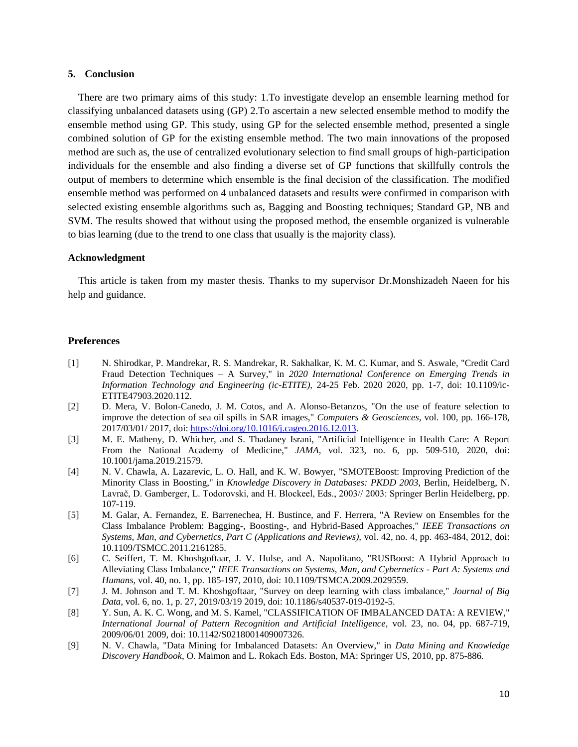## **5. Conclusion**

 There are two primary aims of this study: 1.To investigate develop an ensemble learning method for classifying unbalanced datasets using (GP) 2.To ascertain a new selected ensemble method to modify the ensemble method using GP. This study, using GP for the selected ensemble method, presented a single combined solution of GP for the existing ensemble method. The two main innovations of the proposed method are such as, the use of centralized evolutionary selection to find small groups of high-participation individuals for the ensemble and also finding a diverse set of GP functions that skillfully controls the output of members to determine which ensemble is the final decision of the classification. The modified ensemble method was performed on 4 unbalanced datasets and results were confirmed in comparison with selected existing ensemble algorithms such as, Bagging and Boosting techniques; Standard GP, NB and SVM. The results showed that without using the proposed method, the ensemble organized is vulnerable to bias learning (due to the trend to one class that usually is the majority class).

## **Acknowledgment**

 This article is taken from my master thesis. Thanks to my supervisor Dr.Monshizadeh Naeen for his help and guidance.

#### **Preferences**

- [1] N. Shirodkar, P. Mandrekar, R. S. Mandrekar, R. Sakhalkar, K. M. C. Kumar, and S. Aswale, "Credit Card Fraud Detection Techniques – A Survey," in *2020 International Conference on Emerging Trends in Information Technology and Engineering (ic-ETITE)*, 24-25 Feb. 2020 2020, pp. 1-7, doi: 10.1109/ic-ETITE47903.2020.112.
- [2] D. Mera, V. Bolon-Canedo, J. M. Cotos, and A. Alonso-Betanzos, "On the use of feature selection to improve the detection of sea oil spills in SAR images," *Computers & Geosciences,* vol. 100, pp. 166-178, 2017/03/01/ 2017, doi: [https://doi.org/10.1016/j.cageo.2016.12.013.](https://doi.org/10.1016/j.cageo.2016.12.013)
- [3] M. E. Matheny, D. Whicher, and S. Thadaney Israni, "Artificial Intelligence in Health Care: A Report From the National Academy of Medicine," *JAMA,* vol. 323, no. 6, pp. 509-510, 2020, doi: 10.1001/jama.2019.21579.
- [4] N. V. Chawla, A. Lazarevic, L. O. Hall, and K. W. Bowyer, "SMOTEBoost: Improving Prediction of the Minority Class in Boosting," in *Knowledge Discovery in Databases: PKDD 2003*, Berlin, Heidelberg, N. Lavrač, D. Gamberger, L. Todorovski, and H. Blockeel, Eds., 2003// 2003: Springer Berlin Heidelberg, pp. 107-119.
- [5] M. Galar, A. Fernandez, E. Barrenechea, H. Bustince, and F. Herrera, "A Review on Ensembles for the Class Imbalance Problem: Bagging-, Boosting-, and Hybrid-Based Approaches," *IEEE Transactions on Systems, Man, and Cybernetics, Part C (Applications and Reviews),* vol. 42, no. 4, pp. 463-484, 2012, doi: 10.1109/TSMCC.2011.2161285.
- [6] C. Seiffert, T. M. Khoshgoftaar, J. V. Hulse, and A. Napolitano, "RUSBoost: A Hybrid Approach to Alleviating Class Imbalance," *IEEE Transactions on Systems, Man, and Cybernetics - Part A: Systems and Humans,* vol. 40, no. 1, pp. 185-197, 2010, doi: 10.1109/TSMCA.2009.2029559.
- [7] J. M. Johnson and T. M. Khoshgoftaar, "Survey on deep learning with class imbalance," *Journal of Big Data,* vol. 6, no. 1, p. 27, 2019/03/19 2019, doi: 10.1186/s40537-019-0192-5.
- [8] Y. Sun, A. K. C. Wong, and M. S. Kamel, "CLASSIFICATION OF IMBALANCED DATA: A REVIEW," *International Journal of Pattern Recognition and Artificial Intelligence,* vol. 23, no. 04, pp. 687-719, 2009/06/01 2009, doi: 10.1142/S0218001409007326.
- [9] N. V. Chawla, "Data Mining for Imbalanced Datasets: An Overview," in *Data Mining and Knowledge Discovery Handbook*, O. Maimon and L. Rokach Eds. Boston, MA: Springer US, 2010, pp. 875-886.